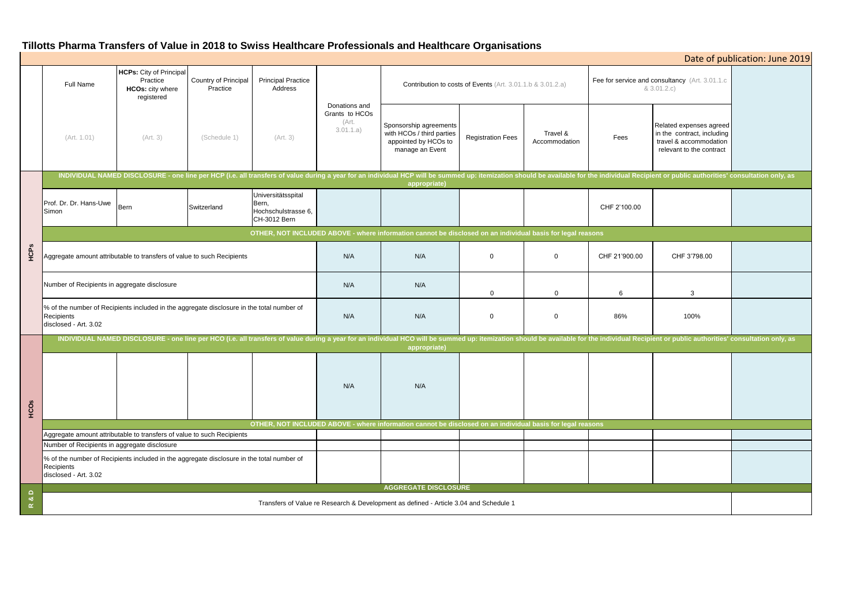# **Tillotts Pharma Transfers of Value in 2018 to Swiss Healthcare Professionals and Healthcare Organisations**

|                            |                                                                                                                                                                                                                                                |                                                                              |                                  |                                                                    |                                                       | <b>INVESTING ITERIOR OF FRIED III LOTU TO SHIPO TIVERITORI OT TOTOOTOHED BITS ITORIGIOR OF SHIPORTOID</b> |                          |                           |                                                                |                                                                                                             | Date of publication: June 2019 |
|----------------------------|------------------------------------------------------------------------------------------------------------------------------------------------------------------------------------------------------------------------------------------------|------------------------------------------------------------------------------|----------------------------------|--------------------------------------------------------------------|-------------------------------------------------------|-----------------------------------------------------------------------------------------------------------|--------------------------|---------------------------|----------------------------------------------------------------|-------------------------------------------------------------------------------------------------------------|--------------------------------|
|                            | Full Name                                                                                                                                                                                                                                      | <b>HCPs:</b> City of Principal<br>Practice<br>HCOs: city where<br>registered | Country of Principal<br>Practice | <b>Principal Practice</b><br>Address                               |                                                       | Contribution to costs of Events (Art. 3.01.1.b & 3.01.2.a)                                                |                          |                           | Fee for service and consultancy (Art. 3.01.1.c)<br>& 3.01.2.c) |                                                                                                             |                                |
|                            | (Art. 1.01)                                                                                                                                                                                                                                    | (Art. 3)                                                                     | (Schedule 1)                     | (Art. 3)                                                           | Donations and<br>Grants to HCOs<br>(Art.<br>3.01.1.a) | Sponsorship agreements<br>with HCOs / third parties<br>appointed by HCOs to<br>manage an Event            | <b>Registration Fees</b> | Travel &<br>Accommodation | Fees                                                           | Related expenses agreed<br>in the contract, including<br>travel & accommodation<br>relevant to the contract |                                |
| HCPS                       | INDIVIDUAL NAMED DISCLOSURE - one line per HCP (i.e. all transfers of value during a year for an individual HCP will be summed up: itemization should be available for the individual Recipient or public authorities' consult<br>appropriate) |                                                                              |                                  |                                                                    |                                                       |                                                                                                           |                          |                           |                                                                |                                                                                                             |                                |
|                            | Prof. Dr. Dr. Hans-Uwe<br>Simon                                                                                                                                                                                                                | Bern                                                                         | Switzerland                      | Universitätsspital<br>Bern,<br>Hochschulstrasse 6,<br>CH-3012 Bern |                                                       |                                                                                                           |                          |                           | CHF 2'100.00                                                   |                                                                                                             |                                |
|                            | OTHER, NOT INCLUDED ABOVE - where information cannot be disclosed on an individual basis for legal reasons                                                                                                                                     |                                                                              |                                  |                                                                    |                                                       |                                                                                                           |                          |                           |                                                                |                                                                                                             |                                |
|                            | Aggregate amount attributable to transfers of value to such Recipients                                                                                                                                                                         |                                                                              |                                  |                                                                    | N/A                                                   | N/A                                                                                                       | $\overline{0}$           | $\overline{0}$            | CHF 21'900.00                                                  | CHF 3'798.00                                                                                                |                                |
|                            | Number of Recipients in aggregate disclosure                                                                                                                                                                                                   |                                                                              |                                  |                                                                    | N/A                                                   | N/A                                                                                                       | $\mathbf 0$              | $\overline{0}$            | 6                                                              | 3                                                                                                           |                                |
|                            | % of the number of Recipients included in the aggregate disclosure in the total number of<br>Recipients<br>disclosed - Art. 3.02                                                                                                               |                                                                              |                                  |                                                                    | N/A                                                   | N/A                                                                                                       | $\mathbf 0$              | $\overline{0}$            | 86%                                                            | 100%                                                                                                        |                                |
|                            | INDIVIDUAL NAMED DISCLOSURE - one line per HCO (i.e. all transfers of value during a year for an individual HCO will be summed up: itemization should be available for the individual Recipient or public authorities' consult<br>appropriate) |                                                                              |                                  |                                                                    |                                                       |                                                                                                           |                          |                           |                                                                |                                                                                                             |                                |
| HCOs                       |                                                                                                                                                                                                                                                |                                                                              |                                  |                                                                    | N/A                                                   | N/A                                                                                                       |                          |                           |                                                                |                                                                                                             |                                |
|                            | OTHER, NOT INCLUDED ABOVE - where information cannot be disclosed on an individual basis for legal reasons                                                                                                                                     |                                                                              |                                  |                                                                    |                                                       |                                                                                                           |                          |                           |                                                                |                                                                                                             |                                |
|                            | Aggregate amount attributable to transfers of value to such Recipients                                                                                                                                                                         |                                                                              |                                  |                                                                    |                                                       |                                                                                                           |                          |                           |                                                                |                                                                                                             |                                |
|                            | Number of Recipients in aggregate disclosure<br>% of the number of Recipients included in the aggregate disclosure in the total number of                                                                                                      |                                                                              |                                  |                                                                    |                                                       |                                                                                                           |                          |                           |                                                                |                                                                                                             |                                |
|                            | Recipients<br>disclosed - Art. 3.02                                                                                                                                                                                                            |                                                                              |                                  |                                                                    |                                                       |                                                                                                           |                          |                           |                                                                |                                                                                                             |                                |
| $\mathbf{a}$ D<br>$\simeq$ | <b>AGGREGATE DISCLOSURE</b>                                                                                                                                                                                                                    |                                                                              |                                  |                                                                    |                                                       |                                                                                                           |                          |                           |                                                                |                                                                                                             |                                |
|                            | Transfers of Value re Research & Development as defined - Article 3.04 and Schedule 1                                                                                                                                                          |                                                                              |                                  |                                                                    |                                                       |                                                                                                           |                          |                           |                                                                |                                                                                                             |                                |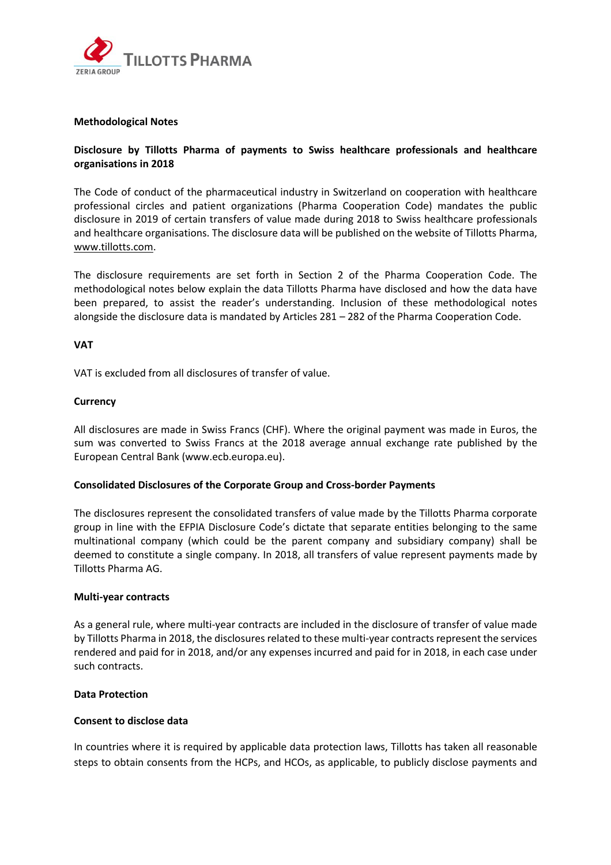

# **Methodological Notes**

# **Disclosure by Tillotts Pharma of payments to Swiss healthcare professionals and healthcare organisations in 2018**

The Code of conduct of the pharmaceutical industry in Switzerland on cooperation with healthcare professional circles and patient organizations (Pharma Cooperation Code) mandates the public disclosure in 2019 of certain transfers of value made during 2018 to Swiss healthcare professionals and healthcare organisations. The disclosure data will be published on the website of Tillotts Pharma, [www.tillotts.com.](http://www.tillotts.com/)

The disclosure requirements are set forth in Section 2 of the Pharma Cooperation Code. The methodological notes below explain the data Tillotts Pharma have disclosed and how the data have been prepared, to assist the reader's understanding. Inclusion of these methodological notes alongside the disclosure data is mandated by Articles 281 – 282 of the Pharma Cooperation Code.

## **VAT**

VAT is excluded from all disclosures of transfer of value.

## **Currency**

All disclosures are made in Swiss Francs (CHF). Where the original payment was made in Euros, the sum was converted to Swiss Francs at the 2018 average annual exchange rate published by the European Central Bank (www.ecb.europa.eu).

# **Consolidated Disclosures of the Corporate Group and Cross‐border Payments**

The disclosures represent the consolidated transfers of value made by the Tillotts Pharma corporate group in line with the EFPIA Disclosure Code's dictate that separate entities belonging to the same multinational company (which could be the parent company and subsidiary company) shall be deemed to constitute a single company. In 2018, all transfers of value represent payments made by Tillotts Pharma AG.

#### **Multi‐year contracts**

As a general rule, where multi‐year contracts are included in the disclosure of transfer of value made by Tillotts Pharma in 2018, the disclosures related to these multi-year contracts represent the services rendered and paid for in 2018, and/or any expenses incurred and paid for in 2018, in each case under such contracts.

# **Data Protection**

# **Consent to disclose data**

In countries where it is required by applicable data protection laws, Tillotts has taken all reasonable steps to obtain consents from the HCPs, and HCOs, as applicable, to publicly disclose payments and